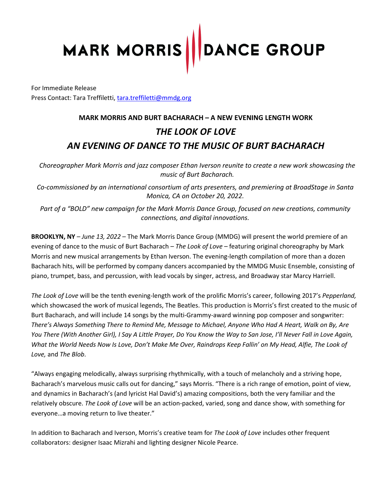MARK MORRIS | DANCE GROUP

For Immediate Release Press Contact: Tara Treffiletti, [tara.treffiletti@mmdg.org](mailto:tara.treffiletti@mmdg.org)

### **MARK MORRIS AND BURT BACHARACH – A NEW EVENING LENGTH WORK** *THE LOOK OF LOVE AN EVENING OF DANCE TO THE MUSIC OF BURT BACHARACH*

*Choreographer Mark Morris and jazz composer Ethan Iverson reunite to create a new work showcasing the music of Burt Bacharach.* 

*Co-commissioned by an international consortium of arts presenters, and premiering at BroadStage in Santa Monica, CA on October 20, 2022.* 

*Part of a "BOLD" new campaign for the Mark Morris Dance Group, focused on new creations, community connections, and digital innovations.*

**BROOKLYN, NY** – *June 13, 2022 –* The Mark Morris Dance Group (MMDG) will present the world premiere of an evening of dance to the music of Burt Bacharach – *The Look of Love –* featuring original choreography by Mark Morris and new musical arrangements by Ethan Iverson. The evening-length compilation of more than a dozen Bacharach hits, will be performed by company dancers accompanied by the MMDG Music Ensemble, consisting of piano, trumpet, bass, and percussion, with lead vocals by singer, actress, and Broadway star Marcy Harriell.

*The Look of Love* will be the tenth evening-length work of the prolific Morris's career, following 2017's *Pepperland,*  which showcased the work of musical legends, The Beatles. This production is Morris's first created to the music of Burt Bacharach, and will include 14 songs by the multi-Grammy-award winning pop composer and songwriter: *There's Always Something There to Remind Me, Message to Michael, Anyone Who Had A Heart, Walk on By, Are You There (With Another Girl), I Say A Little Prayer, Do You Know the Way to San Jose, I'll Never Fall in Love Again, What the World Needs Now Is Love, Don't Make Me Over, Raindrops Keep Fallin' on My Head, Alfie, The Look of Love,* and *The Blob*.

"Always engaging melodically, always surprising rhythmically, with a touch of melancholy and a striving hope, Bacharach's marvelous music calls out for dancing," says Morris. "There is a rich range of emotion, point of view, and dynamics in Bacharach's (and lyricist Hal David's) amazing compositions, both the very familiar and the relatively obscure. *The Look of Love* will be an action-packed, varied, song and dance show, with something for everyone…a moving return to live theater."

In addition to Bacharach and Iverson, Morris's creative team for *The Look of Love* includes other frequent collaborators: designer Isaac Mizrahi and lighting designer Nicole Pearce.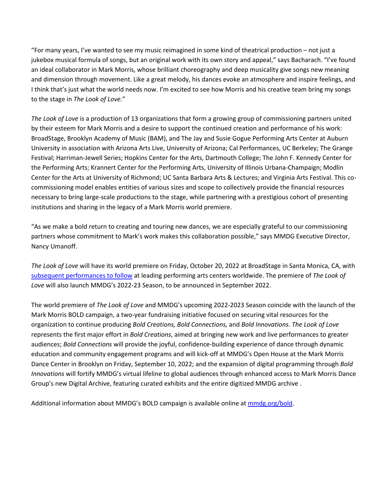"For many years, I've wanted to see my music reimagined in some kind of theatrical production – not just a jukebox musical formula of songs, but an original work with its own story and appeal," says Bacharach. "I've found an ideal collaborator in Mark Morris, whose brilliant choreography and deep musicality give songs new meaning and dimension through movement. Like a great melody, his dances evoke an atmosphere and inspire feelings, and I think that's just what the world needs now. I'm excited to see how Morris and his creative team bring my songs to the stage in *The Look of Love.*"

*The Look of Love* is a production of 13 organizations that form a growing group of commissioning partners united by their esteem for Mark Morris and a desire to support the continued creation and performance of his work: BroadStage, Brooklyn Academy of Music (BAM), and The Jay and Susie Gogue Performing Arts Center at Auburn University in association with Arizona Arts Live, University of Arizona; Cal Performances, UC Berkeley; The Grange Festival; Harriman-Jewell Series; Hopkins Center for the Arts, Dartmouth College; The John F. Kennedy Center for the Performing Arts; Krannert Center for the Performing Arts, University of Illinois Urbana-Champaign; Modlin Center for the Arts at University of Richmond; UC Santa Barbara Arts & Lectures; and Virginia Arts Festival. This cocommissioning model enables entities of various sizes and scope to collectively provide the financial resources necessary to bring large-scale productions to the stage, while partnering with a prestigious cohort of presenting institutions and sharing in the legacy of a Mark Morris world premiere.

"As we make a bold return to creating and touring new dances, we are especially grateful to our commissioning partners whose commitment to Mark's work makes this collaboration possible," says MMDG Executive Director, Nancy Umanoff.

*The Look of Love* will have its world premiere on Friday, October 20, 2022 at BroadStage in Santa Monica, CA, with [subsequent performances to follow](https://markmorrisdancegroup.org/the-dance-group/2021-22-season/?utm_source=Cision&utm_medium=Press+Release&utm_campaign=The+Look+of+Love) at leading performing arts centers worldwide. The premiere of *The Look of Love* will also launch MMDG's 2022-23 Season, to be announced in September 2022.

The world premiere of *The Look of Love* and MMDG's upcoming 2022-2023 Season coincide with the launch of the Mark Morris BOLD campaign, a two-year fundraising initiative focused on securing vital resources for the organization to continue producing *Bold Creations, Bold Connections,* and *Bold Innovations*. *The Look of Love* represents the first major effort in *Bold Creations*, aimed at bringing new work and live performances to greater audiences; *Bold Connections* will provide the joyful, confidence-building experience of dance through dynamic education and community engagement programs and will kick-off at MMDG's Open House at the Mark Morris Dance Center in Brooklyn on Friday, September 10, 2022; and the expansion of digital programming through *Bold Innovations* will fortify MMDG's virtual lifeline to global audiences through enhanced access to Mark Morris Dance Group's new Digital Archive, featuring curated exhibits and the entire digitized MMDG archive .

Additional information about MMDG's BOLD campaign is available online at [mmdg.org/bold.](https://markmorrisdancegroup.org/support/bold-campaign/?utm_source=Cision&utm_medium=Press+Release&utm_campaign=The+Look+of+Love)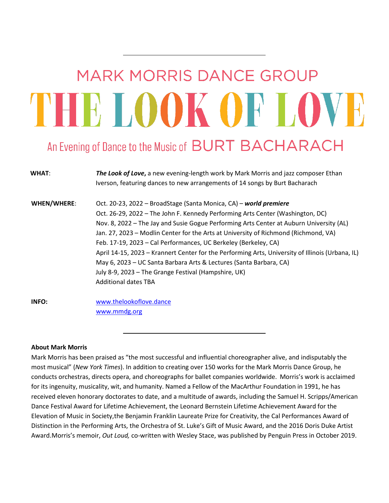# **MARK MORRIS DANCE GROUP** THE LOOK OF LOVE

## An Evening of Dance to the Music of BURT BACHARACH

| <b>WHAT:</b>       | The Look of Love, a new evening-length work by Mark Morris and jazz composer Ethan<br>Iverson, featuring dances to new arrangements of 14 songs by Burt Bacharach                                                                                                                                                                                                                                                                                                                                                                                                                                                                                                         |
|--------------------|---------------------------------------------------------------------------------------------------------------------------------------------------------------------------------------------------------------------------------------------------------------------------------------------------------------------------------------------------------------------------------------------------------------------------------------------------------------------------------------------------------------------------------------------------------------------------------------------------------------------------------------------------------------------------|
| <b>WHEN/WHERE:</b> | Oct. 20-23, 2022 – BroadStage (Santa Monica, CA) – world premiere<br>Oct. 26-29, 2022 - The John F. Kennedy Performing Arts Center (Washington, DC)<br>Nov. 8, 2022 – The Jay and Susie Gogue Performing Arts Center at Auburn University (AL)<br>Jan. 27, 2023 – Modlin Center for the Arts at University of Richmond (Richmond, VA)<br>Feb. 17-19, 2023 - Cal Performances, UC Berkeley (Berkeley, CA)<br>April 14-15, 2023 - Krannert Center for the Performing Arts, University of Illinois (Urbana, IL)<br>May 6, 2023 – UC Santa Barbara Arts & Lectures (Santa Barbara, CA)<br>July 8-9, 2023 – The Grange Festival (Hampshire, UK)<br><b>Additional dates TBA</b> |
| INFO:              | www.thelookoflove.dance                                                                                                                                                                                                                                                                                                                                                                                                                                                                                                                                                                                                                                                   |

[www.mmdg.org](https://www.mmdg.org/?utm_source=Cision&utm_medium=Press+Release&utm_campaign=The+Look+of+Love)

#### **About Mark Morris**

Mark Morris has been praised as "the most successful and influential choreographer alive, and indisputably the most musical" (*New York Times*). In addition to creating over 150 works for the Mark Morris Dance Group, he conducts orchestras, directs opera, and choreographs for ballet companies worldwide. Morris's work is acclaimed for its ingenuity, musicality, wit, and humanity. Named a Fellow of the MacArthur Foundation in 1991, he has received eleven honorary doctorates to date, and a multitude of awards, including the Samuel H. Scripps/American Dance Festival Award for Lifetime Achievement, the Leonard Bernstein Lifetime Achievement Award for the Elevation of Music in Society,the Benjamin Franklin Laureate Prize for Creativity, the Cal Performances Award of Distinction in the Performing Arts, the Orchestra of St. Luke's Gift of Music Award, and the 2016 Doris Duke Artist Award.Morris's memoir, *Out Loud,* co-written with Wesley Stace, was published by Penguin Press in October 2019.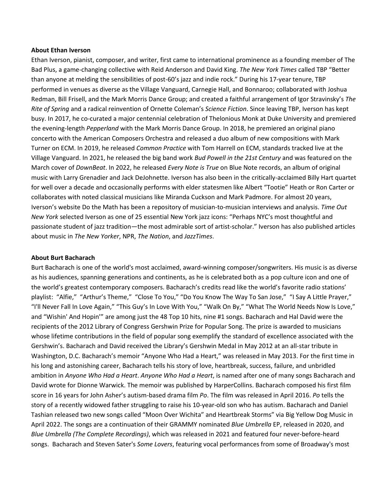#### **About Ethan Iverson**

Ethan Iverson, pianist, composer, and writer, first came to international prominence as a founding member of The Bad Plus, a game-changing collective with Reid Anderson and David King. *The New York Times* called TBP "Better than anyone at melding the sensibilities of post-60's jazz and indie rock." During his 17-year tenure, TBP performed in venues as diverse as the Village Vanguard, Carnegie Hall, and Bonnaroo; collaborated with Joshua Redman, Bill Frisell, and the Mark Morris Dance Group; and created a faithful arrangement of Igor Stravinsky's *The Rite of Spring* and a radical reinvention of Ornette Coleman's *Science Fiction*. Since leaving TBP, Iverson has kept busy. In 2017, he co-curated a major centennial celebration of Thelonious Monk at Duke University and premiered the evening-length *Pepperland* with the Mark Morris Dance Group. In 2018, he premiered an original piano concerto with the American Composers Orchestra and released a duo album of new compositions with Mark Turner on ECM. In 2019, he released *Common Practice* with Tom Harrell on ECM, standards tracked live at the Village Vanguard. In 2021, he released the big band work *Bud Powell in the 21st Century* and was featured on the March cover of *DownBeat*. In 2022, he released *Every Note is True* on Blue Note records, an album of original music with Larry Grenadier and Jack DeJohnette. Iverson has also been in the critically-acclaimed Billy Hart quartet for well over a decade and occasionally performs with elder statesmen like Albert "Tootie" Heath or Ron Carter or collaborates with noted classical musicians like Miranda Cuckson and Mark Padmore. For almost 20 years, Iverson's website Do the Math has been a repository of musician-to-musician interviews and analysis. *Time Out New York* selected Iverson as one of 25 essential New York jazz icons: "Perhaps NYC's most thoughtful and passionate student of jazz tradition—the most admirable sort of artist-scholar." Iverson has also published articles about music in *The New Yorker*, NPR, *The Nation*, and *JazzTimes*.

#### **About Burt Bacharach**

Burt Bacharach is one of the world's most acclaimed, award-winning composer/songwriters. His music is as diverse as his audiences, spanning generations and continents, as he is celebrated both as a pop culture icon and one of the world's greatest contemporary composers. Bacharach's credits read like the world's favorite radio stations' playlist: "Alfie," "Arthur's Theme," "Close To You," "Do You Know The Way To San Jose," "I Say A Little Prayer," "I'll Never Fall In Love Again," "This Guy's In Love With You," "Walk On By," "What The World Needs Now Is Love," and "Wishin' And Hopin'" are among just the 48 Top 10 hits, nine #1 songs. Bacharach and Hal David were the recipients of the 2012 Library of Congress Gershwin Prize for Popular Song. The prize is awarded to musicians whose lifetime contributions in the field of popular song exemplify the standard of excellence associated with the Gershwin's. Bacharach and David received the Library's Gershwin Medal in May 2012 at an all-star tribute in Washington, D.C. Bacharach's memoir "Anyone Who Had a Heart," was released in May 2013. For the first time in his long and astonishing career, Bacharach tells his story of love, heartbreak, success, failure, and unbridled ambition in *Anyone Who Had a Heart*. *Anyone Who Had a Heart*, is named after one of many songs Bacharach and David wrote for Dionne Warwick. The memoir was published by HarperCollins. Bacharach composed his first film score in 16 years for John Asher's autism-based drama film *Po*. The film was released in April 2016. *Po* tells the story of a recently widowed father struggling to raise his 10-year-old son who has autism. Bacharach and Daniel Tashian released two new songs called "Moon Over Wichita" and Heartbreak Storms" via Big Yellow Dog Music in April 2022. The songs are a continuation of their GRAMMY nominated *Blue Umbrella* EP, released in 2020, and *Blue Umbrella (The Complete Recordings)*, which was released in 2021 and featured four never-before-heard songs. Bacharach and Steven Sater's *Some Lovers*, featuring vocal performances from some of Broadway's most